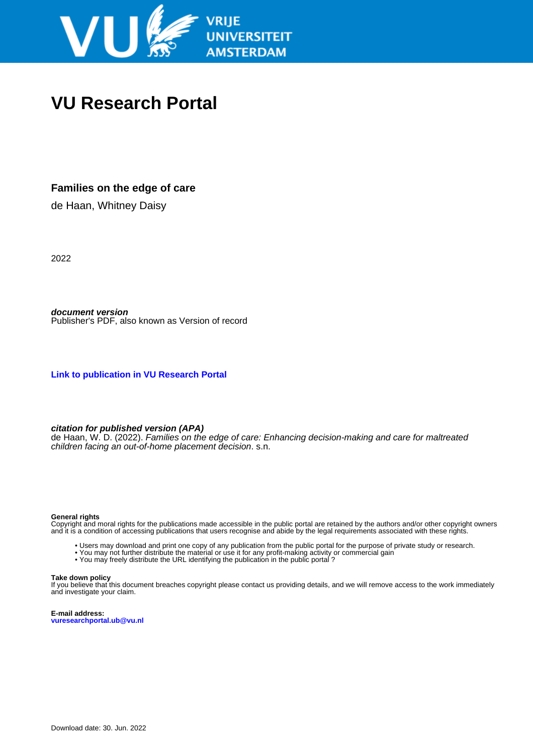

# **VU Research Portal**

# **Families on the edge of care**

de Haan, Whitney Daisy

2022

**document version** Publisher's PDF, also known as Version of record

**[Link to publication in VU Research Portal](https://research.vu.nl/en/publications/1fdaf1ec-44b8-47ee-8506-0703b5c73ccd)**

### **citation for published version (APA)**

de Haan, W. D. (2022). Families on the edge of care: Enhancing decision-making and care for maltreated children facing an out-of-home placement decision. s.n.

#### **General rights**

Copyright and moral rights for the publications made accessible in the public portal are retained by the authors and/or other copyright owners and it is a condition of accessing publications that users recognise and abide by the legal requirements associated with these rights.

- Users may download and print one copy of any publication from the public portal for the purpose of private study or research.
- You may not further distribute the material or use it for any profit-making activity or commercial gain
- You may freely distribute the URL identifying the publication in the public portal?

#### **Take down policy**

If you believe that this document breaches copyright please contact us providing details, and we will remove access to the work immediately and investigate your claim.

**E-mail address: vuresearchportal.ub@vu.nl**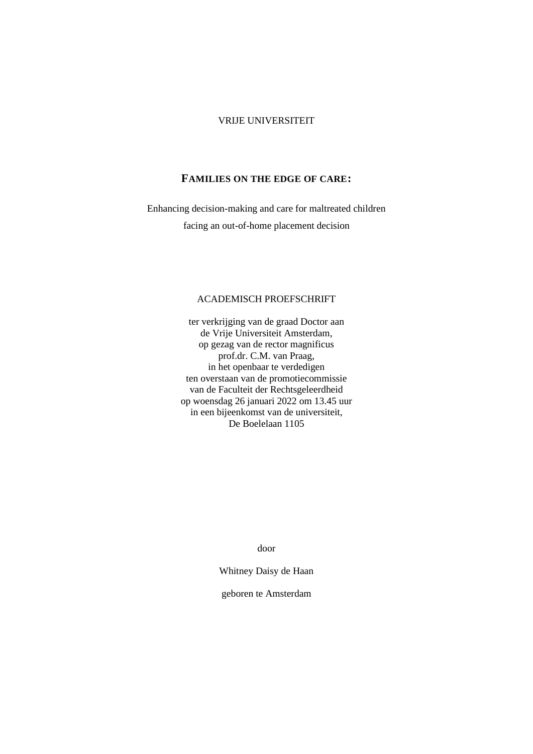## VRIJE UNIVERSITEIT

## **FAMILIES ON THE EDGE OF CARE:**

Enhancing decision-making and care for maltreated children facing an out-of-home placement decision

## ACADEMISCH PROEFSCHRIFT

ter verkrijging van de graad Doctor aan de Vrije Universiteit Amsterdam, op gezag van de rector magnificus prof.dr. C.M. van Praag, in het openbaar te verdedigen ten overstaan van de promotiecommissie van de Faculteit der Rechtsgeleerdheid op woensdag 26 januari 2022 om 13.45 uur in een bijeenkomst van de universiteit, De Boelelaan 1105

door

Whitney Daisy de Haan

geboren te Amsterdam